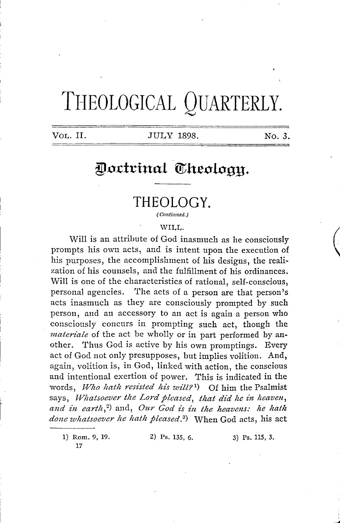# **TI-IEOLOGICAL QUARTERLY.**

#### VOL. II. **JULY 1898.** No. 3.

(

# Doctrinal Theology.

# **THEOLOGY.**

*( Continued.)* 

#### WILL.

Will is an attribute of God inasmuch as he consciously prompts his own acts, and is intent upon the execution of his purposes, the accomplishment of his designs, the realization of his counsels, and the fulfillment of his ordinances. Will is one of the characteristics of rational, self-conscious, personal agencies. The acts of a person are that person's acts inasmuch as they are consciously prompted by such person, and an accessory to an act is again a person who consciously concurs in prompting such act, though the *nzateriale* of the act be wholly or in part performed by another. Thus God is active by his own promptings. Every act of God not only presupposes, but implies volition. And, again, volition is, in God, linked with action, the conscious and intentional exertion of power. This is indicated in the words, Who hath resisted his will?<sup>1</sup>) Of him the Psalmist says, *Whatsoever the Lord pleased, that did he in heaven*, and in earth,<sup>2</sup> and, Our God is in the heavens: he hath *done whatsoever he hath pleased. 3 )* When God acts, his act

1) Rom. 9, 19. 17

2) Ps. 135, 6. 3) Ps. 115, 3.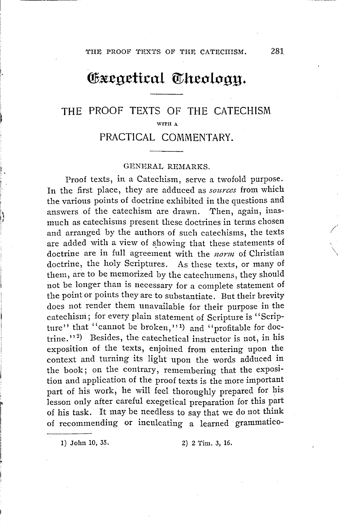# Gxegetical Theology.

# THE PROOF TEXTS OF THE CATECHISM WITH A PRACTICAL COMMENTARY.

#### GENERAL REMARKS.

Proof texts, in a Catechism, serve a twofold purpose. In the first place, they are adduced as *sources* from which the various points of doctrine exhibited in the questions and answers of the catechism are drawn. Then, again, inasmuch as catechisms present these doctrines in terms chosen and arranged by the authors of such catechisms, the texts are added with a view of showing that these statements of doctrine are in full agreement with the *norm* of Christian doctrine, the holy Scriptures. As these texts, or many of them, are to be memorized by the catechumens, they should not be longer than is necessary for a complete statement of the point or points they are to substantiate. But their brevity does not render them unavailable for their purpose in the catechism; for every plain statement of Scripture is "Scripture" that "cannot be broken,"<sup>1</sup>) and "profitable for doctrine."<sup>2</sup>) Besides, the catechetical instructor is not, in his exposition of the texts, enjoined from entering upon the context and turning its light upon the words adduced in the book; on the contrary, remembering that the exposition and application of the proof texts is the more important part of his work, he will feel thoroughly prepared for his lesson only after careful exegetical preparation for this part of his task. It may be needless to say that we do not think of recommending or inculcating a learned grammatico-

 $\mathfrak{f}$ 

l,

1) John 10, 35. 2) 2 Tim. 3, 16.

*/* 

 $\sum_{i=1}^{n}$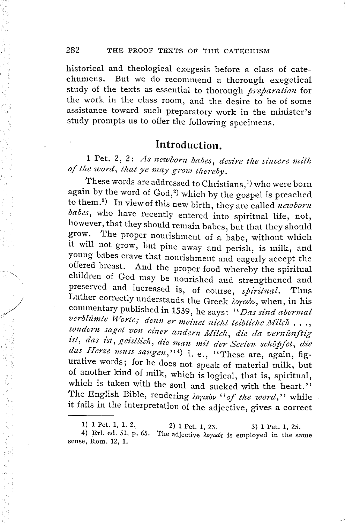historical and theological exegesis before a class of catechumens. But we do recommend a thorough exegetical study of the texts as essential to thorough *preparation* for the work in the class room, and the desire to be of some assistance toward such preparatory work in the minister's study prompts us to offer the following specimens.

# **Introduction.**

1 Pet. 2, 2: *As newborn babes, desire the sincere milk* of the word, that ye may grow thereby.

'I'hese words are addressed to Christians, 1) who were born again by the word of  $God, <sup>2</sup>$  which by the gospel is preached to them. 3 ) In view of this new birth, they are called *newborn babes,* who have recently entered into spiritual life, not, however, that they should remain babes, but that they should grow. The proper nourishment of a babe, without which it will not grow, but pine away and perish, is milk, and young babes crave that nourishment and eagerly accept the offered breast. And the proper food whereby the spiritual children of God may be nourished and strengthened and preserved and increased is, of course, *spiritual.* Thus Luther correctly understands the Greek *λογικόν*, when, in his commentary published in 1539, he says: '' *Das sind abermal*  verblümte Worte; denn er meinet nicht leibliche Milch ..., sondern saget von einer andern Milch, die da vernünftig ist, das ist, geistlich, die man mit der Seelen schöpfet, die das *Herze muss saugen*,"<sup>4</sup>) i. e., "These are, again, figurative words; for he does not speak of material milk, but of another kind of milk, which is logical, that is, spiritual, which is taken with the soul and sucked with the heart." The English Bible, rendering *loraby* "of the word," while it fails in the interpretation of the adjective, gives a correct

<sup>1) 1</sup> Pet. 1, 1. 2. 1) 1 Pet. 1, 1. 2. 2) 1 Pet. 1, 23. 3) 1 Pet. 1, 25.<br>4) Erl. ed. 51, p. 65. The adjective  $\lambda_{OYKp}/c$  is employed in the sample

sense, Rom. 12, 1. The adjective *λογικός* is employed in the same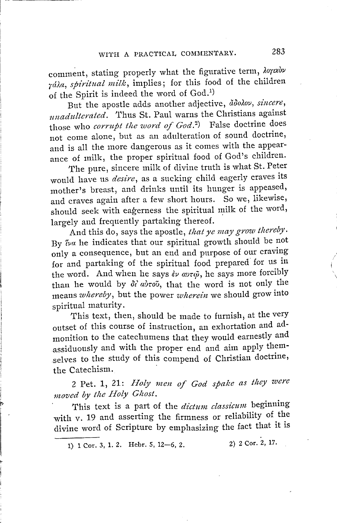comment, stating properly what the figurative term,  $\lambda$ orexov rála, *spiritual milk*, *implies*; for this food of the children of the Spirit is indeed the word of God.<sup>1)</sup>

But the apostle adds another adjective,  $\tilde{a}$ *dolov, sincere, imadztlterdted.* 'I'hus St. Paul warns the Christians against those who *corrupt tlze word of God. 2 )* False doctrine does not come alone, but as an adulteration of sound doctrine, and is all the more dangerous as it comes with the appearance of milk, the proper spiritual food of God's children.

The pure, sincere milk of divine truth is what St. Peter would have us *desire,* as a sucking child eagerly craves its mother's breast, and drinks until its hunger is appeased, and craves again after a few short hours. So we, likewise, should seek with eagerness the spiritual milk of the word, largely and frequently partaking thereof.

And this do, says the apostle, *that ye may grow thereby*. By *Iva* he indicates that our spiritual growth should be not only a consequence, but an end and purpose of our craving for and partaking of the spiritual food prepared for us in the word. And when he says  $\partial \nu \alpha v \tau \tilde{\omega}$ , he says more forcibly than he would by  $\partial t' a \partial \tau o \tilde{\nu}$ , that the word is not only the means *whereby*, but the power *wherein* we should grow into spiritual maturity.

This text, then, should be made to furnish; at the very outset of this course of instruction an exhortation and admonition to the catechumens that they would earnestly and assiduously and with the proper end and aim apply themselves to the study of this compend of Christian doctrine, the Catechism.

2 Pet. 1, 21: *Holy men of God spake as they were* moved by the Holy Ghost.

This text is a part of the *dictum ciassicuni* beginning with v. 19 and asserting the firmness or reliability of the divine word of Scripture by emphasizing the fact that it is

1) 1 Cor. 3, 1. 2. Hebr. 5, 12-6, 2. 2) 2 Cor. 2, 17.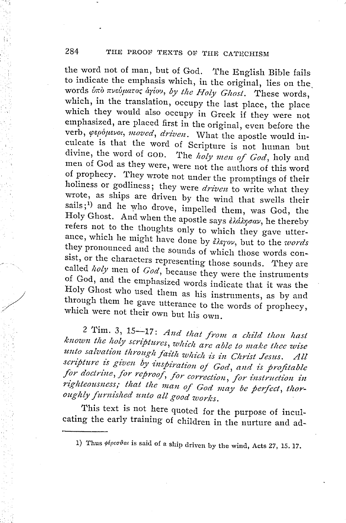the word not of man, but of God. The English Bible fails to indicate the emphasis which, in the original, lies on the. words *bπο πνεύματος αγίου, by the Holy Ghost*. These words, which, in the translation, occupy the last place, the place which they would also occupy in Greek if they were not emphasized, are placed first in the original, even before the verb,  $\varphi$ *epoperot, moved, driven.* What the apostle would inculcate is that the word of Scripture is not human but divine, the word of GOD. The holy men of God, holy and men of God as they were, were not the authors of this word of prophecy. T'hey wrote not under the promptings of their holiness or godliness; they were *driven* to write what they wrote, as ships are driven by the wind that swells their sails;<sup>1</sup>) and he who drove, impelled them, was God, the Holy Ghost. And when the apostle says  $\partial \Omega$ ding  $\partial \alpha v$ , he thereby refers not to the thoughts only to which they gave utterance, which he might have done by  $\zeta \wedge \zeta$  but to the *words* they pronounced and the sounds of which those words consist, or the characters representing those sounds. They are called *holy* men of *God*, because they were the instruments of God, and the emphasized words indicate that it was the Holy Ghost who used them as his instruments, as by and through them he gave utterance to the words of prophecy, which were not their own but his own.

2 Tim. 3, 15-17: And that from a child thou hast known the holy scriptures, which are able to make thee wise unto salvation through faith which is in Christ Jesus. All scripture is given by inspiration of God, and is profitable *for doctrine, for reproof, for correction, for instruction in*  for doctrine, for reproof, for correction, for instruction in<br>righteousness; that the man of God may be perfect, thor-<br>exable farmicled surtable *oughly furnished unto all good works.* 

,,·' /

This text is not here quoted for the purpose of inculcating the early training of children in the nurture and ad-

<sup>1)</sup> Thus  $\phi\ell\rho\epsilon\sigma\vartheta a\iota$  is said of a ship driven by the wind, Acts 27, 15.17.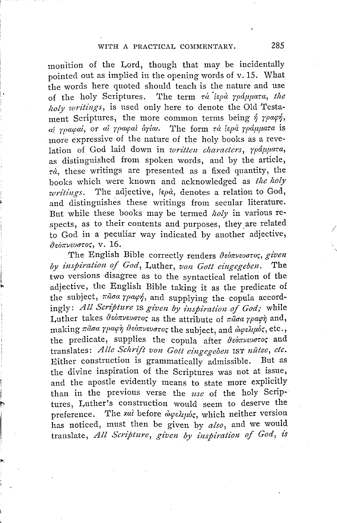monition of the Lord, though that may be incidentally pointed out as implied in the opening words of v. 15. What the words here quoted should teach is the nature and use of the holy Scriptures. The term  $\tau \dot{a}$  *lepa rpdunara, the !zoly writings,* is used only here to denote the Old Testament Scriptures, the more common terms being  $\eta$  *roach*, *fl/ 7pacpaf.,* or *at rpacpa, r1.7f.w.* The form *rr1 fopr1 7pdµµaw.* is more expressive of the nature of the holy books as a revelation of God laid down in *written characters, 7pdµµara,*  as distinguished from spoken words, and by the article,  $\tau d$ , these writings are presented as a fixed quantity, the books which were known and acknowledged as *the holy writings.* The adjective, *fepa*, denotes a relation to God, and distinguishes these writings from secular literature. But while these books may be termed *holy* in various respects, as to their contents and purposes, they are related to God in a peculiar way indicated by another adjective, */),einrvwuro,,* v. 16.

The English Bible correctly renders  $\vartheta$ *eorvevoros, given by inspiration of God,* Luther, *uon Gott eingegeben.* The two versions disagree as to the syntactical relation of the adjective, the English Bible taking it as the predicate of the subject,  $\pi\tilde{a}\sigma a \gamma\rho a\varphi\dot{\gamma}$ , and supplying the copula accordingly: All Scripture *IS given by inspiration of God*; while Luther takes  $\vartheta$ *somvevoroc* as the attribute of  $\pi \tilde{a} \sigma \alpha$  *roach* and, making πάσα γραφή θεόπνευστος the subject, and *ώφελιμ*ός, etc., the predicate, supplies the copula after *{)eorrveuuroc;* and translates: *Alle Schrift von Gott eingegeben* IST *uütze*, etc. <br>Either construction is grammatically admissible. But as Either construction is grammatically admissible. the divine inspiration of the Scriptures was not at issue, and the apostle evidently means to state more explicitly than in the previous verse the *use* of the holy Scriptures, Luther's construction would seem to deserve the preference. The *xαl* before *ώφελιμός*, which neither version has noticed, must then be given by *also,* and we would translate, *All Scripture*, given by inspiration of God, is

'~

*I*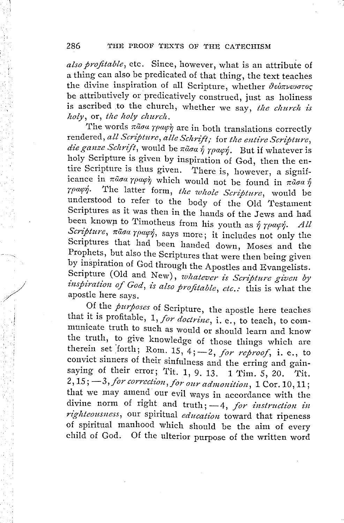*also profitable,* etc. Since, however, what is an attribute of a thing can also be predicated of that thing, the text teaches the divine inspiration of all Scripture, whether θεόπνευστος be attributively or predicatively construed, just as holiness is ascribed to the church, whether we say, the church is *holy*, or, the holy church.

The words  $\pi\tilde{a}\sigma\alpha\gamma\rho\alpha\varphi\gamma$  are in both translations correctly rendered, all Scripture, alle Schrift; for the entire Scripture, die ganze Schrift, would be  $\pi \tilde{a}$ oa  $\tilde{\eta}$   $\gamma \rho a \varphi \eta$ . But if whatever is holy Scripture is given by inspiration of God, then the entire Scripture is thus given. There is, however, a significance in  $\pi \tilde{a} \sigma a \gamma \rho a \varphi \dot{\gamma}$  which would not be found in  $\pi \tilde{a} \sigma a \dot{\gamma}$ *rpacp1.* The latter form, *tlte wltole Scripture,* would be understood to refer to the body of the Old Testament Scriptures as it was then in the hands of the Jews and had been known to Timotheus from his youth as  $\hat{\eta}$   $\gamma \rho \alpha \varphi \hat{\eta}$ . All Scripture,  $\pi\tilde{a}$ *aa rpacp*, says more; it includes not only the Scriptures that had been handed down, Moses and the Prophets, but also the Scriptures that were then being given by inspiration of God through the Apostles and Evangelists. Scripture (Old and New), *whatever is Scripture given by*  inspiration of God, is also profitable, etc.: this is what the apostle here says.

Of the *purposes* of Scripture, the apostle here teaches that it is profitable, 1, *for doctrine,* i. e., to teach, to communicate truth to such as would or should learn and know the truth, to give knowledge of those things which are therein set forth; Rom.  $15, 4; -2, for$  *reproof*, i. e., to convict sinners of their sinfulness and the erring and gainsaying of their error; Tit. 1, 9. 13. 1 Tim. 5, 20. Tit. 2, 15;  $-3$ , for correction, for our admonition, 1 Cor. 10, 11; that we may amend our evil ways in accordance with the divine norm of right and truth; -4, *for instruction in rightenusues* our spiritual of divine norm of right and truth; -4, for *instruction in* righteousness, our spiritual *education* toward that ripeness of spiritual manhood which should be the aim of every child of God. Of the ulterior purpose of the written word Of the ulterior purpose of the written word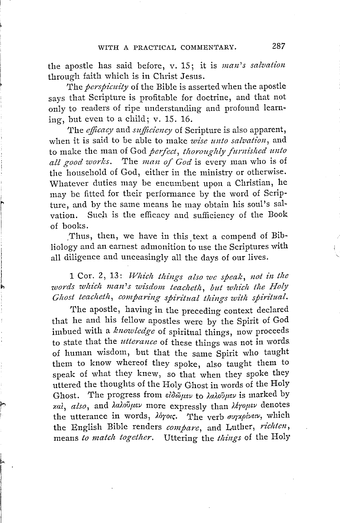the apostle has said before, v. 15; it is *man's salvation*  through faith which is in Christ Jesus.

The *perspicuity* of the Bible is asserted when the apostle says that Scripture is profitable for doctrine, and that not only to readers of ripe understanding and profound learning, but even to a child; v. 15. 16.

The *efficacy* and *sufficiency* of Scripture is also apparent, when it is said to be able to make *wise unto salvation,* and to make the man of God *perfect, thoroughly furnished unto all good works.* The *man of God* is every man who is of the household of God, either in the ministry or otherwise. Whatever duties may be encurnbent upon a Christian, he may be fitted for their performance by the word of Scripture, and by the same means he may obtain his soul's salvation. Such is the efficacy and sufficiency of the Book of books.

Thus, then, we have in this text a compend of Bibliology and an earnest admonition to use the Scriptures with all diligence and unceasingly all the days of our lives.

<sup>1</sup>Cor. 2, 13: *Which things also we speak, not in the words which man's wisdom. teacheth , but which the Holy Ghost teacheth , comparing spiritual things with spiritual.* 

The apostle, having in the preceding context declared that he and his fellow apostles were by the Spirit of God imbued with a *knowledge* of spiritual things, now proceeds to state that the *utterance* of these things was not in words of human wisdom, but that the same Spirit who taught them to know whereof they spoke, also taught them to speak of what they knew, so that when they spoke they uttered the thoughts of the Holy Ghost in words of the Holy Ghost. The progress from *ειδώμεν* to *λαλούμεν* is marked by *xai ; also,* and *).a).ou1ir:;v* more expressly than *Uroµ1:.v* denotes the utterance in words,  $\lambda \dot{o}$ pois. The verb *aurxpluesu*, which the English Bible renders *compare,* and Luther, *richten ,*  means *to match together.* Uttering the *things* of the Holy

*~ I*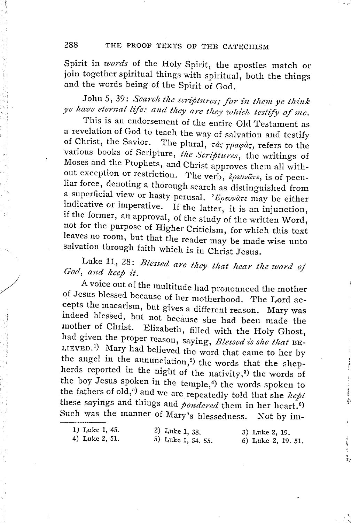Spirit in *words* of the Holy Spirit, the apostles match or join together spiritual things with spiritual, both the things and the words being of the Spirit of God.

*John 5, 39: Search the scriptures; for in them ye think ye have eternal life: and they are they which testify of me.* 

This is an endorsement of the entire Old Testament as a revelation of God to teach the way of salvation and testify of Christ, the Savior. The plural  $\tau dr$  requires to the The plural, τάς γραφάς, refers to the various books of Scripture, *the Scriptures,* the writings of Moses and the Prophets, and Christ approves them all without exception or restriction. The verb,  $\partial \rho \epsilon \nu \nu \tilde{a} \tau \epsilon$ , is of peculiar force, denoting a thorough search as distinguished from a superficial view or hasty perusal. 'Epsuvare may be either indicative or imperative. If the latter, it is an injunction, if the former, an approval, of the study of the written Word, not for the purpose of Higher Criticism, for which this text leaves no room, but that the reader may be made wise unto salvation through faith which is in Christ Jesus.

Luke 11, 28: *Blessed are they that hear the word of God, and keep it.* 

*..* 

A voice out of the multitude had pronounced the mother of Jesus blessed because of her motherhood. The Lord accepts the macarism, but gives a different reason. Mary was indeed blessed, but not because she had been made the mother of Christ. Elizabeth, filled with the Holy Ghost, had given the proper reason, saying, *Blessed is she that* BE-LIEVED.1) Mary had believed the word that came to her by the angel in the annunciation,<sup>2</sup>) the words that the shepherds reported in the night of the nativity,<sup>3)</sup> the words of the boy Jesus spoken in the temple,4) the words spoken to the fathers of old, 5 ) and we are repeatedly told that she *kept*  these sayings and things and *pondered* them in her heart.<sup>6</sup>) Such was the manner of Mary's blessedness. Not by im-

*1)* Luke 1, 45. 4) Luke 2, 51. 2) Luke 1, 38. 5) Luke 1, 54. 55. 3) Luke 2, 19. 6) Luke 2, 19. 51.

 $\ddot{\phantom{1}}$ 

ì.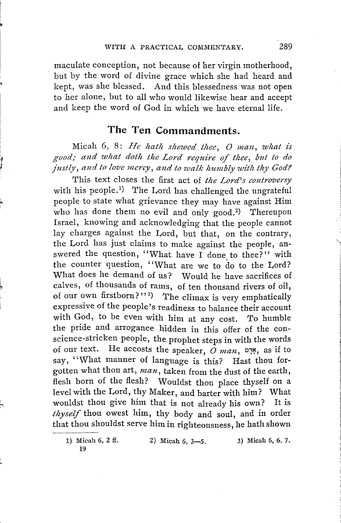maculate conception, not because of her virgin motherhood, but by the word of divine grace which she had heard and kept, was she blessed. And this blessedness was not open to her alone, but to all who would likewise hear and accept and keep the word of God in which we have eternal life.

# **The Ten Commandments.**

Micah 6, 8: *He hath shewed thee, O man, what is good; and what doth the Lord require of thee, but to do*  justly, and to love mercy, and to walk humbly with thy God?

This text closes the first act of *the Lord's controversy*  with his people.<sup>1</sup>) The Lord has challenged the ungrateful people to state what grievance they may have against Him who has done them no evil and only good.<sup>2</sup>) Thereupon Israel, knowing and acknowledging that the people cannot lay charges against the Lord, but that, on the contrary, the Lord has just claims to make against the people, answered the question, '' What have I done to thee? '' with the counter question, "What are we to do to the Lord? What does he demand of us? Would he have sacrifices of calves, of thousands of rams, of ten thousand rivers of oil, of our own firstborn?"<sup>3</sup>) The climax is very emphatically expressive of the people's readiness to balance their account with God, to be even with him at any cost. *To* humble the pride and arrogance hidden in this offer of the conscience-stricken people, the prophet steps in with the words of our text. He accosts the speaker, *O man,* 01~, as if to say, "What manner of language is this? Hast thou forgotten what thou art, *man,* taken from the dust of the earth, flesh born of the flesh? Wouldst thou place thyself on a level with the Lord, thy Maker, and barter with him? What wouldst thou give him that is not already his own? It is *thyself* thou owest him, thy body and soul, and in order that thou shouldst serve him in righteousness, he hath shown

 $\overline{z}$ 

<sup>1)</sup> Micah 6, 2 ff. 19 2) Micah 6, 3-5. 3) Micah 6, 6. 7.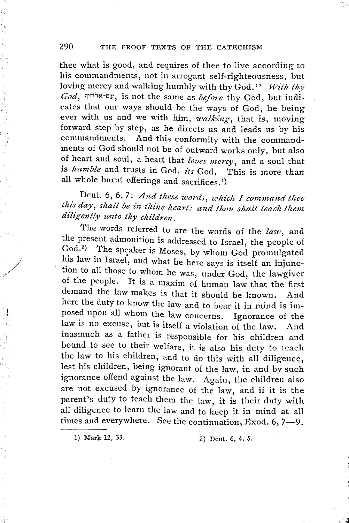thee what is good, and requires of thee to live according to his commandments, not in arrogant self-righteousness, but loving mercy and walking humbly with thy God.'' *With thy God,* :r;i,~-c.v, is not the same as *before* thy God, but indicates that our ways should be the ways of God, he being ever with us and we with him, *walking*, that is, moving forward step by step, as he directs us and leads us by his commandments. And this conformity with the commandments of God should not be of outward works only, but also of heart and soul, a heart that *loves mercy,* and a soul that is *humble* and trusts in God, *its* God. This is more than all whole burnt offerings and sacrifices.1)

Dent. 6, 6. 7: *And these words, which I command thee this day, shall be in thine heart: and thou shalt teach them*  $diligently$  unto thy children.

The words referred to are the words of the *law,* and the present admonition is addressed to Israel, the people of God.<sup>2</sup>) The speaker is Moses, by whom God promulgated his law in Israel, and what he here says is itself an injunction to all those to whom he was, under God, the lawgiver of the people. It is a maxim of human law that the first demand the law makes is that it should be known. And here the duty to know the law and to bear it in mind is imposed upon all whom the law concerns. Ignorance of the law is no excuse, but is itself a violation of the law. And inasmuch as a father is responsible for his children and bound to see to their welfare, it is also his duty to teach the law to his children, and to do this with all diligence, lest his children, being ignorant of the law, in and by such ignorance offend against the law. Again, the children also are not excused by ignorance of the law, and if it is the parent's duty to teach them the law, it is their duty with parent 5 dary to coach them the law, it is then dity with<br>all diligence to learn the law and to keep it in mind at all<br>times and everywhere. See the continuation, Exod. 6, 7-9.

1) Mark 12, 33. 2) Dent. 6, 4. 5.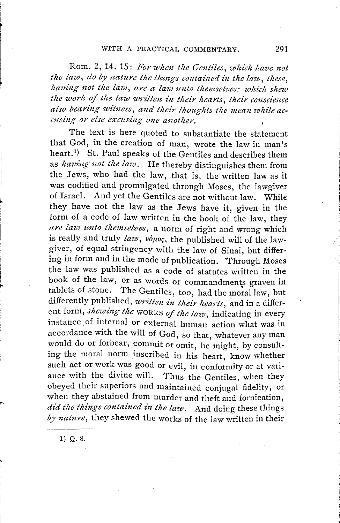Rom. 2, 14. 15: For when the Gentiles, which have not the law, do by nature the things contained in the law, these, having not the law, are a law unto themselves: which shew the work of the law written in their hearts, their conscience also bearing witness, and their thoughts the mean while ac*cusing or else excusing one another.* 

The text is here quoted to substantiate the statement that God, in the creation of man, wrote the law in man's heart. 1 ) St. Paul speaks of the Gentiles and describes them as *having not the law*. He thereby distinguishes them from the Jews, who had the law, that is, the written law as it was codified and promulgated through Moses, the lawgiver of Israel. And yet the Gentiles are not without law. While they have not the law as the Jews have it, given in the form of a code of law written in the book of the law, they are law unto themselves, a norm of right and wrong which is really and truly *law*, νόμος, the published will of the lawgiver, of equal stringency with the law of Sinai, but differing in form and in the mode of publication. 'Through Moses the law was published as a code of statutes written in the book of the law, or as words or commandments graven in tablets of stone. The Gentiles, too, had the moral law, but differently published, *written in their hearts,* and in a different form, *shewing the* WORKS *of the law,* indicating in every instance of internal or external human action what was in accordance with the will of God, so that, whatever any man would do or forbear, commit or omit, he might, by consulting the moral norm inscribed in his heart, know whether such act or work was good or evil, in conformity or at variance with the divine will. Thus the Gentiles, when they obeyed their superiors and maintained conjugal fidelity, or when they abstained from murder and theft and fornication, did the things contained in the law. And doing these things *by nature,* they shewed the works of the law written in their

1) Q. 8.

',.\_

',<br>'' בין יינו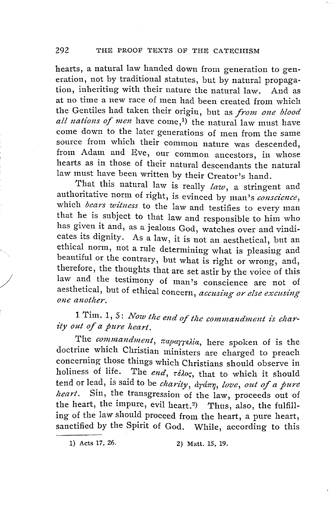hearts, a natural law handed down from generation to generation, not by traditional statutes, but by natural propagation, inheriting with their nature the natural law. And as at no time a new race of men had been created from which the Gentiles had taken their origin, but as *from one blood all nations of men* have come,1) the natural law must have come down to the later generations of men from the same source from which their common nature was descended, from Adam and Eve, our common ancestors, in whose hearts as in those of their natural descendants the natural law must have been written by their Creator's hand.

That this natural law is really *law,* a stringent and authoritative norm of right, is evinced by man's *conscience,*  which *bears witness* to the law and testifies to every man that he is subject to that law and responsible to him who has given it and, as a jealous God, watches over and vindicates its dignity. As a law, it is not an aesthetical, but an ethical norm, not a rule determining what is pleasing and beautiful or the contrary, but what is right or wrong, and, therefore, the thoughts that are set astir by the voice of this law and the testimony of man's conscience are not of aesthetical, but of ethical concern, *accusing or else excusing one another,* 

 $\frac{1}{2}$ 

1 Tim. 1, 5: *Now tlze end of tlze commandment is charity out of a pure heart.* 

The *commandment*,  $\pi$ aparrelia, here spoken of is the doctrine which Christian ministers are charged to preach concerning those things which Christians should observe in holiness of life. The end,  $\tau \epsilon \lambda o \varsigma$ , that to which it should tend or lead, is said to be *charity*,  $\frac{\partial \gamma}{\partial x}$ , love, out of a pure *hea rt.* Sin, the transgression of the law, proceeds out of the heart, the impure, evil heart.<sup>2</sup>) Thus, also, the fulfilling of the law should proceed from the heart, a pure heart, sanctified by the Spirit of God. While, according to this

<sup>1)</sup> Acts 17, 26. 2) Matt. 15, 19.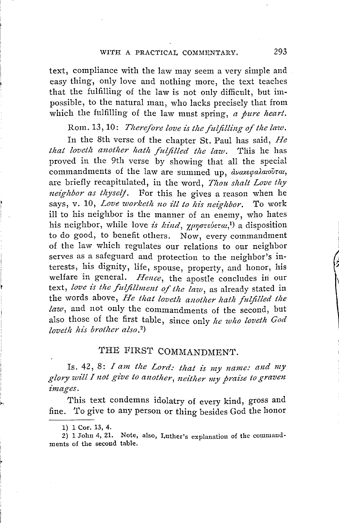#### *WI'tH* A PRACTICAL COMMENTARY. <sup>293</sup>

text, compliance with the law may seem a very simple and easy thing, only love and nothing more, the text teaches that the fulfilling of the law is not only difficult, but impossible, to the natural man, who lacks precisely that from which the fulfilling of the law must spring, *a pure heart*.

Rom. 13, 10: *Therefore love is the fulfilling of the law*.

In the 8th verse of the chapter St. Paul has said, *He that loveth another hath fulfilled the law.* This he has proved in the 9th verse by showing that all the special commandments of the law are summed up, *dναχεφαλαιούται*, are briefly recapitulated, in the word, *Thou shalt Love thy neighbor as thyself.* For this he gives a reason when he says, v. 10, *Love worketh no ill to his neighbor*. To work ill to his neighbor is the manner of an enemy, who bates his neighbor, while love *is kind*, γρηστεύεται,<sup>1</sup>) a disposition to do good, to benefit others. Now, every commandment of the law which regulates our relations to our neighbor serves as a safeguard and protection to the neighbor's interests, his dignity, life, spouse, property, and honor, his welfare in general. *Hence,* the apostle concludes in our text, *love is the fulfillment of the law,* as already stated in the words above, *He that loveth another hath fulfilled the law,* and not only the commandments of the second, but also those of the first table, since only *!te who loveth God loveth his brother also.*<sup>2</sup>)

# THE FIRST COMMANDMENT.

Is. 42, 8: *I am the Lord: that is my name: and my glory will I not give to another, neither my praise to graven images.* 

This text condemns idolatry of every kind, gross and fine. To give to any person or thing besides God the honor

<sup>1) 1</sup> Cor. 13, 4.

<sup>2) 1</sup> John 4, 21. Note, also, Luther's explanation of the commandments of the second table.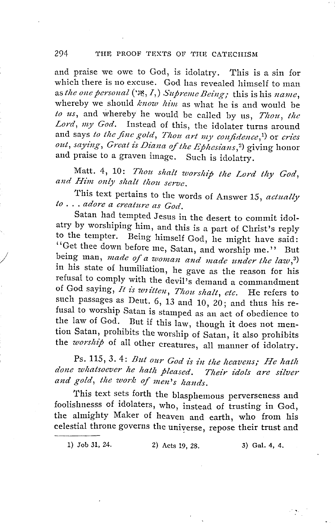and praise we owe to God, is idolatry. This is a sin for which there is no excuse. God has revealed himself to man as *t!te one personal* ('J~, I,) *Supreme Being;* this is his *name,*  whereby we should *know him* as what he is and would be to us, and whereby he would be called by us, *Thou*, the *Lord, my God.* Instead of this, the idolater turns around and says *to the fine gold, Thou art my confidence*,<sup>1</sup>) or *cries* and says to the fine gold, Thou art my confidence,<sup>1</sup>) or cries<br>out, saying, Great is Diana of the Ephesians,<sup>2</sup>) giving honor and praise to a graven image. Such is idolatry.

Matt. 4, 10: Thou shalt worship the Lord thy God, and Him only shalt thou serve.

This text pertains to the words of Answer 15, *actually to ... adore a creature as God.* 

Satan had tempted Jesus in the desert to commit idolatry by worshiping him, and this is a part of Christ's reply to the tempter. Being himself God, he might have said: "Get thee down before me, Satan, and worship me." But being man, *made of a woman and made under the law*,<sup>3)</sup> in his state of humiliation, he gave as the reason for his refusal to comply with the devil's demand a commandment of God saying, *It is written, Thou shalt, etc.* He refers to such passages as Deut. 6, 13 and 10, 20; and thus his refusal to worship Satan is stamped as an act of obedience to the law of God. But if this law, though it does not mention Satan, prohibits the worship of Satan, it also prohibits the *worship* of all other creatures, all manner of idolatry.

*J* 

Ps. 115, 3.4: *But our God is in the heavens; He hath done whatsoever he hath pleased. Their idols are silver and gold, the work of men's hands.* 

This text sets forth the blasphemous perverseness and foolishnesss of idolaters, who, instead of trusting in God, the almighty Maker of heaven and earth, who from his celestial throne governs the universe, repose their trust and

1) Job 31, 24. 2) Acts 19, 28. 3) Gal. 4, 4.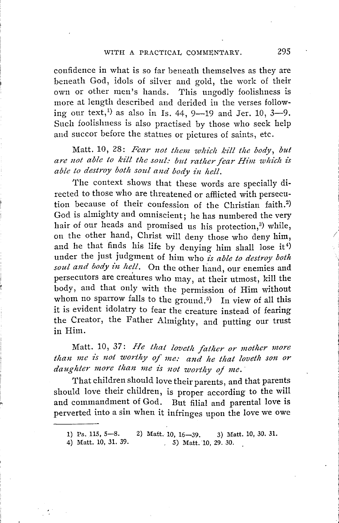confidence in what is so far beneath themselves as they are beneath God, idols of silver and gold, the work of their own or other men's hands. This ungodly foolishness is more at length described and derided in the verses following our text,<sup>1</sup> as also in Is. 44, 9--19 and Jer. 10,  $3-9$ . Such foolishness is also practised by those who seek help and succor before the statues or pictures of saints, etc.

Matt. 10, 28: *Fear not them which kill the body, but are not able to kill the soul: but rather fear Him which is able to destroy both soul and body in hell.* 

The context shows that these words are specially directed to those who are threatened or afflicted with persecution because of their confession of the Christian faith. 2 ) God is almighty and omniscient; he has numbered the very hair of our heads and promised us his protection, $3$ ) while, on the other hand, Christ will deny those who deny him, and he that finds his life by denying him shall lose it<sup>4)</sup> under the just judgment of him who *is able to destroy both*  soul and body in hell. On the other hand, our enemies and persecutors are creatures who may, at their utmost, kill the body, and that only with the permission of Him without whom no sparrow falls to the ground.<sup>5</sup>) In view of all this it is evident idolatry to fear the creature instead of fearing the Creator, the Father Almighty, and putting our trust in Him.

Matt. 10, 37: *He that loveth father or mother more* than me is not worthy of me: and he that loveth son or *daughter more than me is not worthy of me. ·* 

That children should love their parents, and that parents should love their children, is proper according to the will and commandment of God. But filial and parental love is perverted into a sin when it infringes upon the love we owe

4) Matt. 10, 31. 39.  $, 5)$  Matt. 10, 29. 30.

*/* 

<sup>1)</sup> Ps. 115, 5-8. 2) Matt. 10, 16-39. 3) Matt. 10, 30. 31.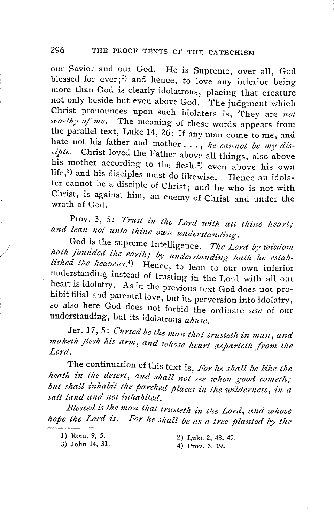our Savior and our God. He is Supreme, over all, God blessed for ever;<sup>1</sup>) and hence, to love any inferior being more than God is clearly idolatrous, placing that creature not only beside but even above God. The judgment which Christ pronounces upon such idolaters is, They are *not worthy of me.* The meaning of these words appears from the parallel text, Luke 14, 26: If any man come to me, and hate not his father and mother ... , *he cannot be my disciple.* Christ loved the Father above all things, also above his mother according to the flesh,<sup>2</sup>) even above his own life,<sup>3</sup>) and his disciples must do likewise. Hence an idolater cannot be a disciple of Christ; and he who is not with Christ, is against him, an enemy of Christ and under the wrath of God.

Prov. 3, 5: *Trust in the Lord with all thine heart;* and lean not unto thine own understanding.

God is the supreme Intelligence. The Lord by wisdom hath founded the earth; by understanding hath he established the heavens.<sup>4</sup>) Hence, to lean to our own inferior understanding instead of trusting in the Lord with all our heart is idolatry. As in the previous text God does not prohibit filial and parental love, but its perversion into idolatry, so also here God does not forbid the ordinate *use* of our understanding, but its idolatrous *abuse.* 

Jer. 17, 5: *Cursed be the man that trusteth in man, and* Jer. 17, 5: *Cursed be the man that trusteth in man, and*<br>maketh flesh his arm, and whose heart departeth from the<br>Lord.

The continuation of this text is, For he shall be like the *heath in the desert, and shall not see when good cometh;* but shall inhabit the parched places in the wilderness, in a salt land and not inhabited.

*Blessed is the man that trusteth -in the Lord, and whose hope the Lord is. For he shall be as a tree planted by the* 

1) Rom. 9, 5. 3) John 14, 31.

/

2) Luke 2, 48. 49. 4) Prov. 3, 19.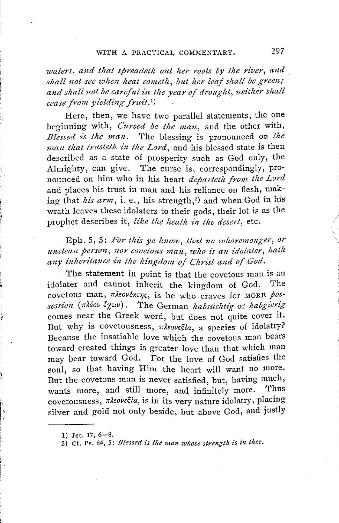#### WITH A PRACTICAL COMMENTARY. 297

*waters, and that spreadeth out her roots by the river, and shall not see when heat cometh, but her leaf shall be green; and shall not be careful in the year of droug!tt, neither shall cease from yielding fruit .* 1 )

Here, then, we have two parallel statements, the one beginning with, *Cursed be the man*, and the other with, *Blessed is the man.* The blessing is pronounced on *the man that trusteth in the Lord,* and his blessed state is then described as a state of prosperity such as God only, the Almighty, can give. The curse is, correspondingly, pronounced on him who in his heart *departetlt from the Lord*  and places his trust in man and his reliance on flesh, making that *his arm*, i. e., his strength,<sup>2</sup>) and when God in his wrath leaves these idolaters to their gods, their lot is as the prophet describes it, like the heath in the desert, etc.

Eph. 5, 5: For this ye know, that no whoremonger, or *unclean person, nor covetous man, who is an z"dolater, hath any inheritance in the kingdom of Chris; and of God.* 

The statement in point is that the covetous man is an idolater and cannot inherit the kingdom of God. The covetous man,  $\pi\lambda\epsilon\omega\epsilon\star\tau\gamma\varsigma$ , is he who craves for MORE pos*session* (πλέον έχειν). The German *habsüchtig* or *habgierig* comes near the Greek word, but does not quite cover it. But why is covetousness,  $\pi\lambda\epsilon_0\nu\epsilon\xi/\alpha$ , a species of idolatry? Because the insatiable love which the covetous man bears toward created things is greater love than that which man may bear toward God. For the love of God satisfies the soul, so that having Him the heart will want no more. But the covetous man is never satisfied, but, having much, wants more, and still more, and infinitely more. Thus covetousness,  $\pi\lambda$ *sovecta*, is in its very nature idolatry, placing silver and gold not only beside, but above God, and justly

<sup>1)</sup> Jer. 17, 6-8.

 $2)$  Cf. Ps. 84, 5: *Blessed is the man whose strength is in thee.*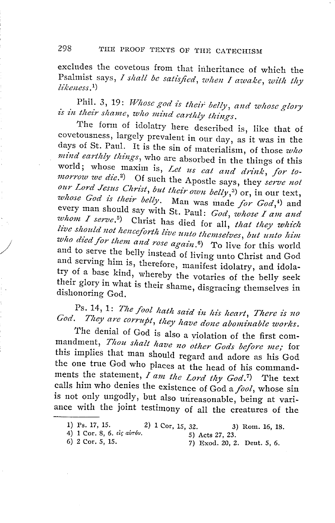excludes the covetous from that inheritance of which the Psalmist says, *I shall be satisfied*, when *I awake*, with thy *likeness.*  1 )

Phil. 3, 19: *Whose god is their belly, and whose glory* is in their shame, who mind earthly things.

The form of idolatry here described is, like that of covetousness, largely prevalent in our day, as it was in the days of St. Paul. It is the sin of materialism, of those *wlto mind earthly things,* who are absorbed in the things of this world; whose maxim is, Let us eat and drink, for to*morrow we die.*<sup>2</sup>) Of such the Apostle says, they *serve not* our Lord Jesus Christ, but their own belly,<sup>3</sup>) or, in our text, *whose God is their belly.* Man was made *for God,'1)* and every man should say with St. Paul: *God, whose I am and whom I serve*<sup>5</sup>). Christ 1, The *St. Paul: God, whose I am and whom I serve.*<sup>5</sup>) Christ has died for all, *that they which* live should not henceforth live unto themselves, but unto him *who died for them and rose again.* 6) To live for this world and to serve the belly instead of living unto Christ and God and serving him is, therefore, manifest idolatry, and idolatry of a base kind, whereby the votaries of the belly seek their glory in what is their shame, disgracing themselves in dishonoring God.

# dishonoring God.<br>Ps. 14, 1: *The fool hath said in his heart, There is no* God. They are corrupt, they have done abominable works.

The denial of God is also a violation of the first commandment, *Thou shalt have no other Gods before me;* for this implies that man should regard and adore as his God the one true God who places at the head of his commandments the statement, *I am the Lord thy God.* 7) The text calls him who denies the existence of God a *fool,* whose sin is not only ungodly, but also unreasonable, being at variance with the joint testimony of all the creatures of the

/<br>|<br>|-

<sup>1)</sup> Ps. 17, 15. 2) 1 Cor, 15, 32. 3) Rom. 16, 18.

<sup>4) 1</sup> Cor. 8, 6. eig air 6v.<br>
5) Acts 27, 23.<br>
5) 2 Cor. 5, 15.<br>
7) Exod. 20, 2

<sup>7)</sup> Exod. 20, 2. Deut. 5, 6.